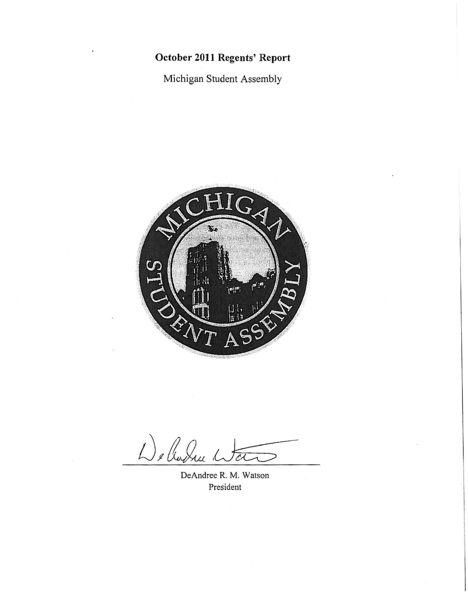## **October 2011 Regents' Report**

Michigan Student Assembly

Received by the Regents October 13, 2011



De Cudru

DeAndree R. M. Watson President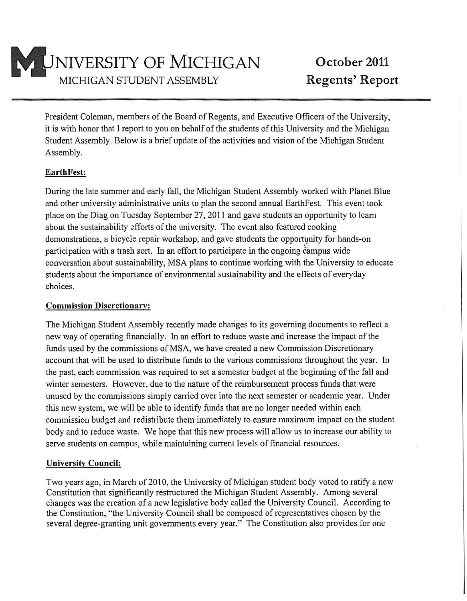

President Coleman, members of the Board of Regents, and Executive Officers of the University, it is with honor that I report to you on behalf of the students of this University and the Michigan Student Assembly. Below is a brief update of the activities and vision of the Michigan Student Assembly.

## **EarthFest:**

During the late summer and early fall, the Michigan Student Assembly worked with Planet Blue and other university administrative units to plan the second annual EarthFest. This event took place on the Diag on Tuesday September 27, 2011 and gave students an opportunity to learn about the sustainability efforts of the university. The event also featured cooking demonstrations, a bicycle repair workshop, and gave students the opportunity for hands-on participation with a trash sort. In an effort to participate in the ongoing campus wide conversation about sustainability, MSA plans to continue working with the University to educate students about the importance of environmental sustainability and the effects of everyday choices.

## **Commission Discretionary:**

The Michigan Student Assembly recently made chariges to its governing documents to reflect a new way of operating financially. In an effort to reduce waste and increase the impact of the funds used by the commissions of MSA, we have created a new Commission Discretionary account that will be used to distribute funds to the various commissions throughout the year. In the past, each commission was required to set a semester budget at the beginning of the fall and winter semesters. However, due to the nature of the reimbursement process funds that were unused by the commissions simply carried over into the next semester or academic year. Under this new system, we will be able to identify funds that are no longer needed within each commission budget and redistribute them immediately to ensure maximum impact on the student body and to reduce waste. We hope that this new process will allow us to increase our ability to serve students on campus, while maintaining current levels of financial resources.

## **University Council:**

Two years ago, in March of 2010, the University of Michigan student body voted to ratify a new Constitution that significantly restructured the Michigan Student Assembly. Among several changes was the creation of a new legislative body called the University Council. According to the Constitution, "the University Council shall be composed of representatives chosen by the several degree-granting unit governments every year." The Constitution also provides for one